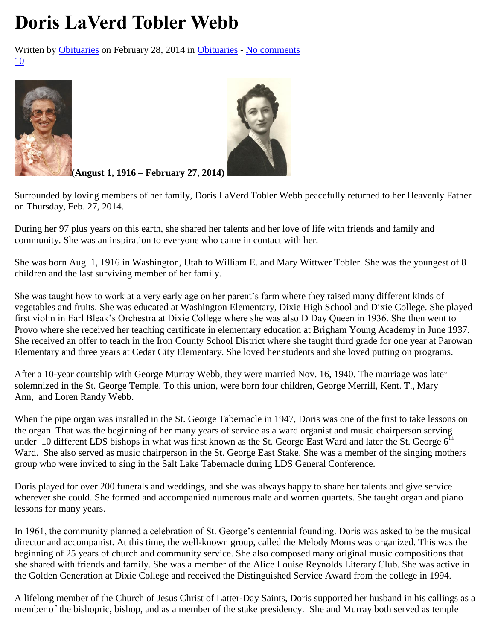## **Doris LaVerd Tobler Webb**

Written by [Obituaries](http://www.stgeorgeutah.com/news/archive/author/obituaries/) on February 28, 2014 in [Obituaries](http://www.stgeorgeutah.com/news/archive/category/obituaries/) - [No comments](http://www.stgeorgeutah.com/news/archive/2014/02/28/doris-laverd-tobler-webb/#respond) [10](http://www.stgeorgeutah.com/news/archive/2014/02/28/doris-laverd-tobler-webb/)





**(August 1, 1916 – February 27, 2014)**

Surrounded by loving members of her family, Doris LaVerd Tobler Webb peacefully returned to her Heavenly Father on Thursday, Feb. 27, 2014.

During her 97 plus years on this earth, she shared her talents and her love of life with friends and family and community. She was an inspiration to everyone who came in contact with her.

She was born Aug. 1, 1916 in Washington, Utah to William E. and Mary Wittwer Tobler. She was the youngest of 8 children and the last surviving member of her family.

She was taught how to work at a very early age on her parent's farm where they raised many different kinds of vegetables and fruits. She was educated at Washington Elementary, Dixie High School and Dixie College. She played first violin in Earl Bleak's Orchestra at Dixie College where she was also D Day Queen in 1936. She then went to Provo where she received her teaching certificate in elementary education at Brigham Young Academy in June 1937. She received an offer to teach in the Iron County School District where she taught third grade for one year at Parowan Elementary and three years at Cedar City Elementary. She loved her students and she loved putting on programs.

After a 10-year courtship with George Murray Webb, they were married Nov. 16, 1940. The marriage was later solemnized in the St. George Temple. To this union, were born four children, George Merrill, Kent. T., Mary Ann, and Loren Randy Webb.

When the pipe organ was installed in the St. George Tabernacle in 1947, Doris was one of the first to take lessons on the organ. That was the beginning of her many years of service as a ward organist and music chairperson serving under 10 different LDS bishops in what was first known as the St. George East Ward and later the St. George  $6<sup>th</sup>$ Ward. She also served as music chairperson in the St. George East Stake. She was a member of the singing mothers group who were invited to sing in the Salt Lake Tabernacle during LDS General Conference.

Doris played for over 200 funerals and weddings, and she was always happy to share her talents and give service wherever she could. She formed and accompanied numerous male and women quartets. She taught organ and piano lessons for many years.

In 1961, the community planned a celebration of St. George's centennial founding. Doris was asked to be the musical director and accompanist. At this time, the well-known group, called the Melody Moms was organized. This was the beginning of 25 years of church and community service. She also composed many original music compositions that she shared with friends and family. She was a member of the Alice Louise Reynolds Literary Club. She was active in the Golden Generation at Dixie College and received the Distinguished Service Award from the college in 1994.

A lifelong member of the Church of Jesus Christ of Latter-Day Saints, Doris supported her husband in his callings as a member of the bishopric, bishop, and as a member of the stake presidency. She and Murray both served as temple